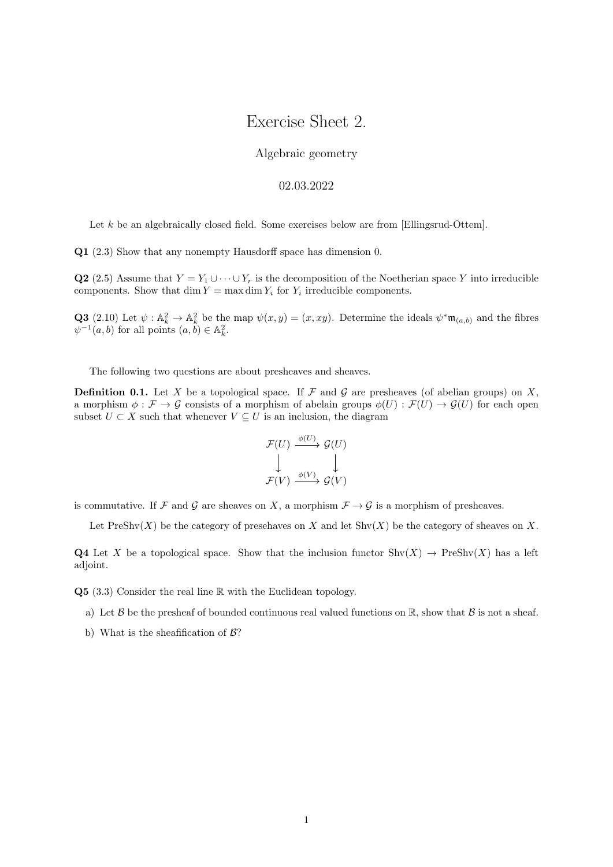## Exercise Sheet 2.

## Algebraic geometry

## 02.03.2022

Let k be an algebraically closed field. Some exercises below are from [Ellingsrud-Ottem].

Q1 (2.3) Show that any nonempty Hausdorff space has dimension 0.

Q2 (2.5) Assume that  $Y = Y_1 \cup \cdots \cup Y_r$  is the decomposition of the Noetherian space Y into irreducible components. Show that  $\dim Y = \max \dim Y_i$  for  $Y_i$  irreducible components.

**Q3** (2.10) Let  $\psi : \mathbb{A}_k^2 \to \mathbb{A}_k^2$  be the map  $\psi(x, y) = (x, xy)$ . Determine the ideals  $\psi^* \mathfrak{m}_{(a,b)}$  and the fibres  $\psi^{-1}(a, b)$  for all points  $(a, b) \in \mathbb{A}_{k}^{2}$ .

The following two questions are about presheaves and sheaves.

**Definition 0.1.** Let X be a topological space. If F and G are presheaves (of abelian groups) on X, a morphism  $\phi : \mathcal{F} \to \mathcal{G}$  consists of a morphism of abelain groups  $\phi(U) : \mathcal{F}(U) \to \mathcal{G}(U)$  for each open subset  $U \subset X$  such that whenever  $V \subseteq U$  is an inclusion, the diagram

$$
\begin{array}{ccc}\n\mathcal{F}(U) & \xrightarrow{\phi(U)} & \mathcal{G}(U) \\
\downarrow & & \downarrow \\
\mathcal{F}(V) & \xrightarrow{\phi(V)} & \mathcal{G}(V)\n\end{array}
$$

is commutative. If F and G are sheaves on X, a morphism  $\mathcal{F} \to \mathcal{G}$  is a morphism of presheaves.

Let  $\text{PreShv}(X)$  be the category of present and  $X$  and let  $\text{Shv}(X)$  be the category of sheaves on X.

Q4 Let X be a topological space. Show that the inclusion functor  $\text{Shv}(X) \to \text{PreShv}(X)$  has a left adjoint.

Q5 (3.3) Consider the real line R with the Euclidean topology.

- a) Let  $\beta$  be the presheaf of bounded continuous real valued functions on  $\mathbb{R}$ , show that  $\beta$  is not a sheaf.
- b) What is the sheafification of  $\mathcal{B}$ ?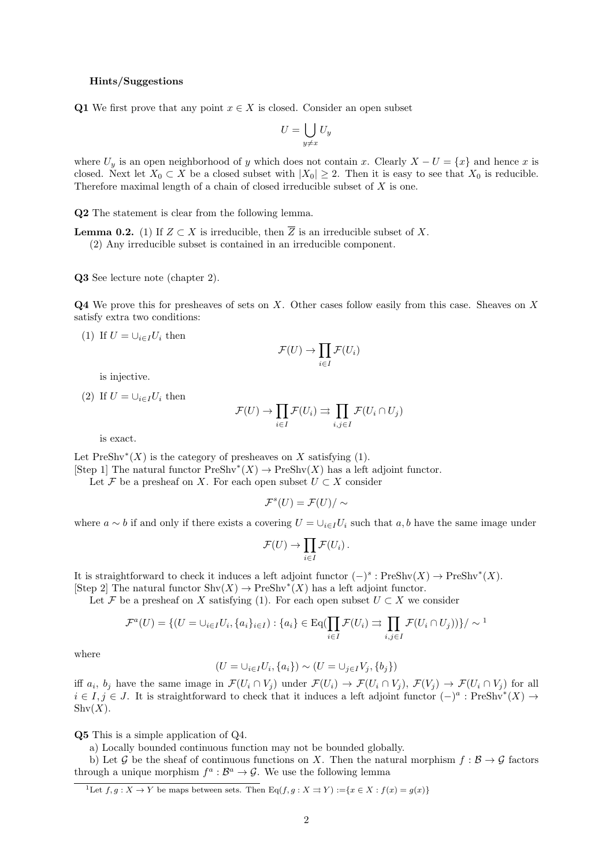## Hints/Suggestions

Q1 We first prove that any point  $x \in X$  is closed. Consider an open subset

$$
U = \bigcup_{y \neq x} U_y
$$

where  $U_y$  is an open neighborhood of y which does not contain x. Clearly  $X - U = \{x\}$  and hence x is closed. Next let  $X_0 \subset X$  be a closed subset with  $|X_0| \geq 2$ . Then it is easy to see that  $X_0$  is reducible. Therefore maximal length of a chain of closed irreducible subset of  $X$  is one.

Q2 The statement is clear from the following lemma.

**Lemma 0.2.** (1) If  $Z \subset X$  is irreducible, then  $\overline{Z}$  is an irreducible subset of X. (2) Any irreducible subset is contained in an irreducible component.

Q3 See lecture note (chapter 2).

Q4 We prove this for presheaves of sets on X. Other cases follow easily from this case. Sheaves on X satisfy extra two conditions:

(1) If  $U = \bigcup_{i \in I} U_i$  then

$$
\mathcal{F}(U) \to \prod_{i \in I} \mathcal{F}(U_i)
$$

is injective.

(2) If  $U = \bigcup_{i \in I} U_i$  then

$$
\mathcal{F}(U) \to \prod_{i \in I} \mathcal{F}(U_i) \rightrightarrows \prod_{i,j \in I} \mathcal{F}(U_i \cap U_j)
$$

is exact.

Let  $Preshv^*(X)$  is the category of presheaves on X satisfying (1).

[Step 1] The natural functor  $PreShv^*(X) \to PreShv(X)$  has a left adjoint functor.

Let F be a presheaf on X. For each open subset  $U \subset X$  consider

$$
\mathcal{F}^s(U)=\mathcal{F}(U)/\sim
$$

where  $a \sim b$  if and only if there exists a covering  $U = \bigcup_{i \in I} U_i$  such that  $a, b$  have the same image under

$$
\mathcal{F}(U) \to \prod_{i \in I} \mathcal{F}(U_i).
$$

It is straightforward to check it induces a left adjoint functor  $(-)^s : \text{PreShv}(X) \to \text{PreShv}^*(X)$ .

[Step 2] The natural functor  $\text{Shv}(X) \to \text{PreShv}^*(X)$  has a left adjoint functor.

Let F be a presheaf on X satisfying (1). For each open subset  $U \subset X$  we consider

$$
\mathcal{F}^a(U) = \{ (U = \cup_{i \in I} U_i, \{a_i\}_{i \in I}) : \{a_i\} \in \text{Eq}(\prod_{i \in I} \mathcal{F}(U_i) \implies \prod_{i,j \in I} \mathcal{F}(U_i \cap U_j)) \} / \sim^1
$$

where

$$
(U = \cup_{i \in I} U_i, \{a_i\}) \sim (U = \cup_{j \in I} V_j, \{b_j\})
$$

iff  $a_i$ ,  $b_j$  have the same image in  $\mathcal{F}(U_i \cap V_j)$  under  $\mathcal{F}(U_i) \to \mathcal{F}(U_i \cap V_j)$ ,  $\mathcal{F}(V_j) \to \mathcal{F}(U_i \cap V_j)$  for all  $i \in I, j \in J$ . It is straightforward to check that it induces a left adjoint functor  $(-)^a$ : PreShv<sup>\*</sup> $(X) \rightarrow$  $\text{Shv}(X)$ .

Q5 This is a simple application of Q4.

a) Locally bounded continuous function may not be bounded globally.

b) Let G be the sheaf of continuous functions on X. Then the natural morphism  $f : \mathcal{B} \to \mathcal{G}$  factors through a unique morphism  $f^a : \mathcal{B}^a \to \mathcal{G}$ . We use the following lemma

<sup>&</sup>lt;sup>1</sup>Let  $f, g: X \to Y$  be maps between sets. Then Eq( $f, g: X \to Y$ ) :={ $x \in X : f(x) = g(x)$ }